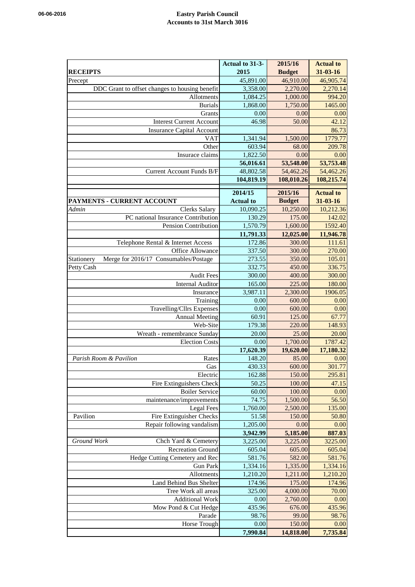## **06-06-2016 Eastry Parish Council Accounts to 31st March 3016**

|                                                     | Actual to 31-3-  | 2015/16       | <b>Actual to</b> |
|-----------------------------------------------------|------------------|---------------|------------------|
| <b>RECEIPTS</b>                                     | 2015             | <b>Budget</b> | 31-03-16         |
| Precept                                             | 45,891.00        | 46,910.00     | 46,905.74        |
| DDC Grant to offset changes to housing benefit      | 3,358.00         | 2,270.00      | 2,270.14         |
| Allotments                                          | 1,084.25         | 1,000.00      | 994.20           |
| <b>Burials</b>                                      | 1,868.00         | 1,750.00      | 1465.00          |
| Grants                                              | 0.00             | 0.00          | 0.00             |
| <b>Interest Current Account</b>                     | 46.98            | 50.00         | 42.12            |
| <b>Insurance Capital Account</b>                    |                  |               | 86.73            |
| <b>VAT</b>                                          | 1,341.94         | 1,500.00      | 1779.77          |
| Other                                               | 603.94           | 68.00         | 209.78           |
| Insurace claims                                     | 1,822.50         | 0.00          | 0.00             |
|                                                     | 56,016.61        | 53,548.00     | 53,753.48        |
| Current Account Funds B/F                           | 48,802.58        | 54,462.26     | 54,462.26        |
|                                                     | 104,819.19       | 108,010.26    | 108,215.74       |
|                                                     |                  |               |                  |
|                                                     | 2014/15          | 2015/16       | <b>Actual to</b> |
| PAYMENTS - CURRENT ACCOUNT                          | <b>Actual to</b> | <b>Budget</b> | $31 - 03 - 16$   |
| <b>Clerks Salary</b><br>Admin                       | 10,090.25        | 10,250.00     | 10,212.36        |
| PC national Insurance Contribution                  | 130.29           | 175.00        | 142.02           |
| Pension Contribution                                | 1,570.79         | 1,600.00      | 1592.40          |
|                                                     | 11,791.33        | 12,025.00     | 11,946.78        |
| Telephone Rental & Internet Access                  | 172.86           | 300.00        | 111.61           |
| Office Allowance                                    | 337.50           | 300.00        | 270.00           |
| Merge for 2016/17 Consumables/Postage<br>Stationery | 273.55           | 350.00        | 105.01           |
| Petty Cash                                          | 332.75           | 450.00        | 336.75           |
| <b>Audit Fees</b>                                   | 300.00           | 400.00        | 300.00           |
| <b>Internal Auditor</b>                             | 165.00           | 225.00        | 180.00           |
| Insurance                                           | 3,987.11         | 2,300.00      | 1906.05          |
| Training                                            | 0.00             | 600.00        | 0.00             |
| Travelling/Cllrs Expenses                           | 0.00             | 600.00        | 0.00             |
| <b>Annual Meeting</b>                               | 60.91            | 125.00        | 67.77            |
| Web-Site                                            | 179.38           | 220.00        | 148.93           |
| Wreath - remembrance Sunday                         | 20.00            | 25.00         | 20.00            |
| <b>Election Costs</b>                               | 0.00             | 1,700.00      | 1787.42          |
|                                                     | 17,620.39        | 19,620.00     | 17,180.32        |
| Parish Room & Pavilion<br>Rates                     | 148.20           | 85.00         | 0.00             |
| Gas                                                 | 430.33           | 600.00        | 301.77           |
| Electric                                            | 162.88           | 150.00        | 295.81           |
| Fire Extinguishers Check                            | 50.25            | 100.00        | 47.15            |
| <b>Boiler Service</b>                               | 60.00            | 100.00        | 0.00             |
| maintenance/improvements                            | 74.75            | 1,500.00      | 56.50            |
| Legal Fees                                          | 1,760.00         | 2,500.00      | 135.00           |
| Fire Extinguisher Checks<br>Pavilion                | 51.58            | 150.00        | 50.80            |
| Repair following vandalism                          | 1,205.00         | 0.00          | 0.00             |
|                                                     |                  |               | 887.03           |
| Ground Work                                         | 3,942.99         | 5,185.00      |                  |
| Chch Yard & Cemetery                                | 3,225.00         | 3,225.00      | 3225.00          |
| <b>Recreation Ground</b>                            | 605.04           | 605.00        | 605.04           |
| Hedge Cutting Cemetery and Rec                      | 581.76           | 582.00        | 581.76           |
| <b>Gun Park</b>                                     | 1,334.16         | 1,335.00      | 1,334.16         |
| Allotments                                          | 1,210.20         | 1,211.00      | 1,210.20         |
| Land Behind Bus Shelter                             | 174.96           | 175.00        | 174.96           |
| Tree Work all areas                                 | 325.00           | 4,000.00      | 70.00            |
| <b>Additional Work</b>                              | 0.00             | 2,760.00      | 0.00             |
| Mow Pond & Cut Hedge                                | 435.96           | 676.00        | 435.96           |
| Parade                                              | 98.76            | 99.00         | 98.76            |
| Horse Trough                                        | 0.00             | 150.00        | 0.00             |
|                                                     | 7,990.84         | 14,818.00     | 7,735.84         |